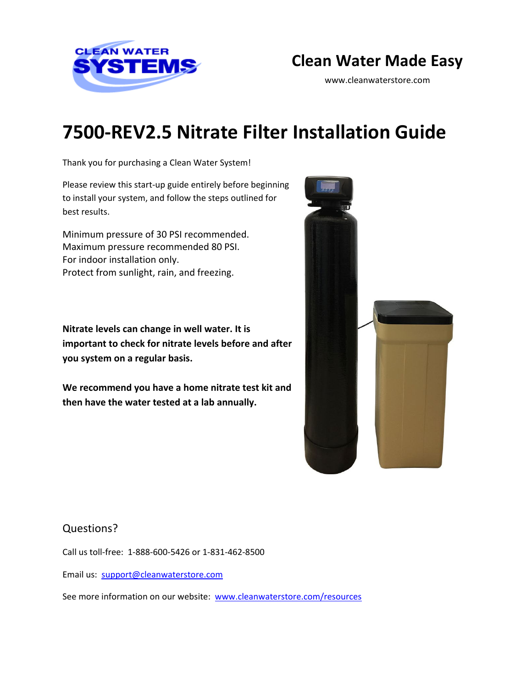

# **Clean Water Made Easy**

www.cleanwaterstore.com

# **7500-REV2.5 Nitrate Filter Installation Guide**

Thank you for purchasing a Clean Water System!

Please review this start‐up guide entirely before beginning to install your system, and follow the steps outlined for best results.

Minimum pressure of 30 PSI recommended. Maximum pressure recommended 80 PSI. For indoor installation only. Protect from sunlight, rain, and freezing.

**Nitrate levels can change in well water. It is important to check for nitrate levels before and after you system on a regular basis.** 

**We recommend you have a home nitrate test kit and then have the water tested at a lab annually.**



#### Questions?

Call us toll-free: 1-888-600-5426 or 1-831-462-8500

Email us: [support@cleanwaterstore.com](mailto:support@cleanwaterstore.com)

See more information on our website: [www.cleanwaterstore.com/resources](http://www.cleanwaterstore.com/resources)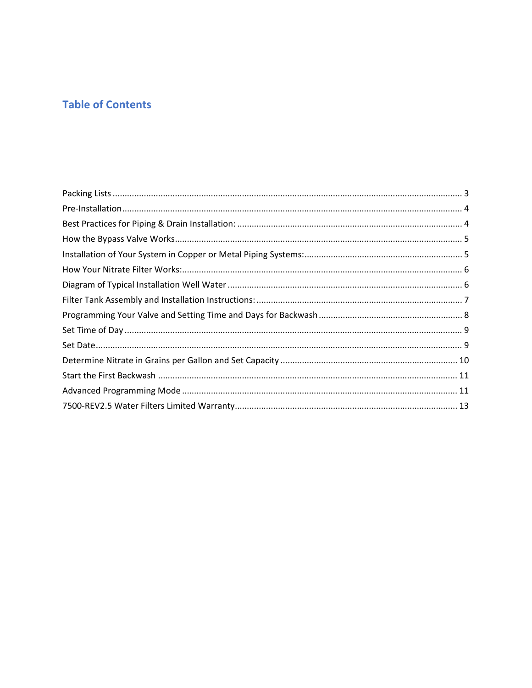## **Table of Contents**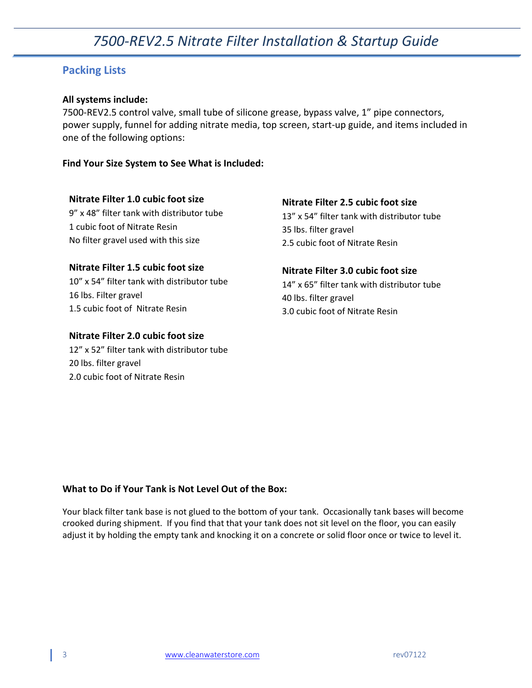#### <span id="page-2-0"></span>**Packing Lists**

#### **All systems include:**

7500-REV2.5 control valve, small tube of silicone grease, bypass valve, 1" pipe connectors, power supply, funnel for adding nitrate media, top screen, start-up guide, and items included in one of the following options:

**Find Your Size System to See What is Included:**

#### **Nitrate Filter 1.0 cubic foot size**

9" x 48" filter tank with distributor tube 1 cubic foot of Nitrate Resin No filter gravel used with this size

#### **Nitrate Filter 2.5 cubic foot size**

13" x 54" filter tank with distributor tube 35 lbs. filter gravel 2.5 cubic foot of Nitrate Resin

#### **Nitrate Filter 1.5 cubic foot size**

10" x 54" filter tank with distributor tube 16 lbs. Filter gravel 1.5 cubic foot of Nitrate Resin

#### **Nitrate Filter 2.0 cubic foot size**

12" x 52" filter tank with distributor tube 20 lbs. filter gravel 2.0 cubic foot of Nitrate Resin

#### **Nitrate Filter 3.0 cubic foot size**

14" x 65" filter tank with distributor tube 40 lbs. filter gravel 3.0 cubic foot of Nitrate Resin

#### **What to Do if Your Tank is Not Level Out of the Box:**

Your black filter tank base is not glued to the bottom of your tank. Occasionally tank bases will become crooked during shipment. If you find that that your tank does not sit level on the floor, you can easily adjust it by holding the empty tank and knocking it on a concrete or solid floor once or twice to level it.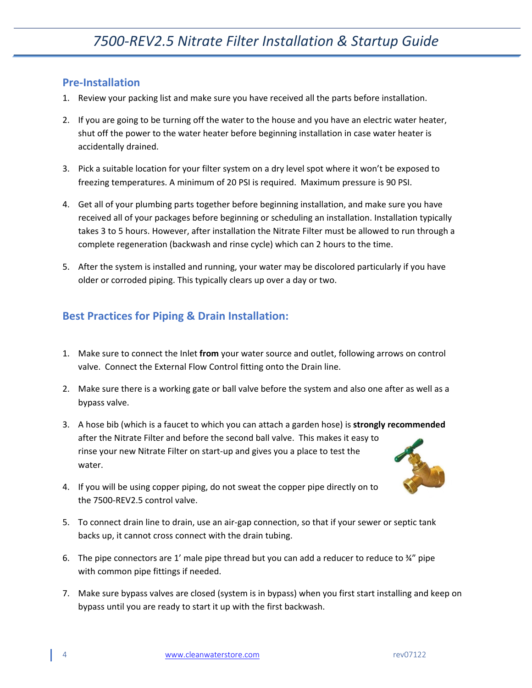### <span id="page-3-0"></span>**Pre-Installation**

- 1. Review your packing list and make sure you have received all the parts before installation.
- 2. If you are going to be turning off the water to the house and you have an electric water heater, shut off the power to the water heater before beginning installation in case water heater is accidentally drained.
- 3. Pick a suitable location for your filter system on a dry level spot where it won't be exposed to freezing temperatures. A minimum of 20 PSI is required. Maximum pressure is 90 PSI.
- 4. Get all of your plumbing parts together before beginning installation, and make sure you have received all of your packages before beginning or scheduling an installation. Installation typically takes 3 to 5 hours. However, after installation the Nitrate Filter must be allowed to run through a complete regeneration (backwash and rinse cycle) which can 2 hours to the time.
- 5. After the system is installed and running, your water may be discolored particularly if you have older or corroded piping. This typically clears up over a day or two.

### <span id="page-3-1"></span>**Best Practices for Piping & Drain Installation:**

- 1. Make sure to connect the Inlet **from** your water source and outlet, following arrows on control valve. Connect the External Flow Control fitting onto the Drain line.
- 2. Make sure there is a working gate or ball valve before the system and also one after as well as a bypass valve.
- 3. A hose bib (which is a faucet to which you can attach a garden hose) is **strongly recommended** after the Nitrate Filter and before the second ball valve. This makes it easy to rinse your new Nitrate Filter on start-up and gives you a place to test the water.



- 4. If you will be using copper piping, do not sweat the copper pipe directly on to the 7500-REV2.5 control valve.
- 5. To connect drain line to drain, use an air-gap connection, so that if your sewer or septic tank backs up, it cannot cross connect with the drain tubing.
- 6. The pipe connectors are 1' male pipe thread but you can add a reducer to reduce to  $\frac{3}{4}$ " pipe with common pipe fittings if needed.
- 7. Make sure bypass valves are closed (system is in bypass) when you first start installing and keep on bypass until you are ready to start it up with the first backwash.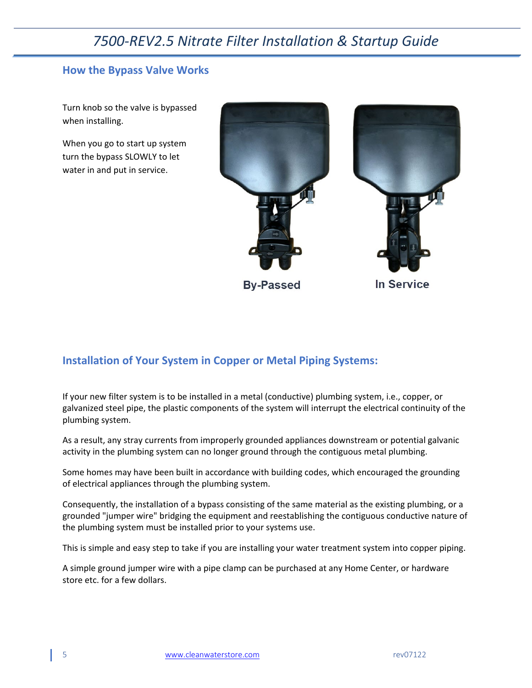#### <span id="page-4-0"></span>**How the Bypass Valve Works**

Turn knob so the valve is bypassed when installing.

When you go to start up system turn the bypass SLOWLY to let water in and put in service.



**By-Passed** 

In Service

#### <span id="page-4-1"></span>**Installation of Your System in Copper or Metal Piping Systems:**

If your new filter system is to be installed in a metal (conductive) plumbing system, i.e., copper, or galvanized steel pipe, the plastic components of the system will interrupt the electrical continuity of the plumbing system.

As a result, any stray currents from improperly grounded appliances downstream or potential galvanic activity in the plumbing system can no longer ground through the contiguous metal plumbing.

Some homes may have been built in accordance with building codes, which encouraged the grounding of electrical appliances through the plumbing system.

Consequently, the installation of a bypass consisting of the same material as the existing plumbing, or a grounded "jumper wire" bridging the equipment and reestablishing the contiguous conductive nature of the plumbing system must be installed prior to your systems use.

This is simple and easy step to take if you are installing your water treatment system into copper piping.

A simple ground jumper wire with a pipe clamp can be purchased at any Home Center, or hardware store etc. for a few dollars.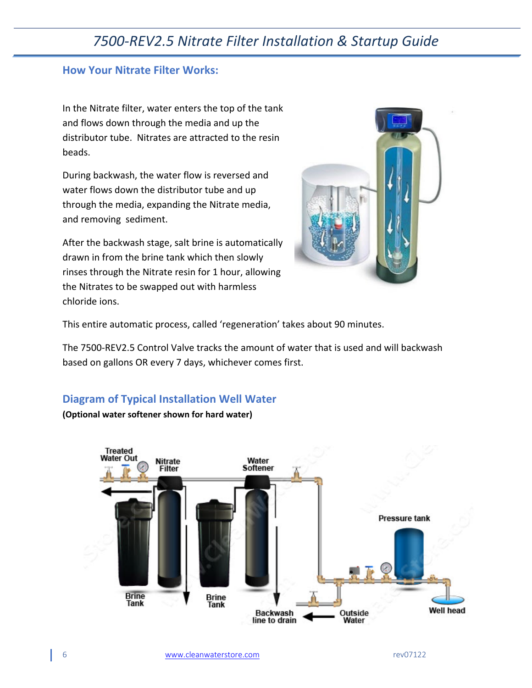#### <span id="page-5-0"></span>**How Your Nitrate Filter Works:**

In the Nitrate filter, water enters the top of the tank and flows down through the media and up the distributor tube. Nitrates are attracted to the resin beads.

During backwash, the water flow is reversed and water flows down the distributor tube and up through the media, expanding the Nitrate media, and removing sediment.

After the backwash stage, salt brine is automatically drawn in from the brine tank which then slowly rinses through the Nitrate resin for 1 hour, allowing the Nitrates to be swapped out with harmless chloride ions.



This entire automatic process, called 'regeneration' takes about 90 minutes.

The 7500-REV2.5 Control Valve tracks the amount of water that is used and will backwash based on gallons OR every 7 days, whichever comes first.

#### <span id="page-5-1"></span>**Diagram of Typical Installation Well Water**

**(Optional water softener shown for hard water)**

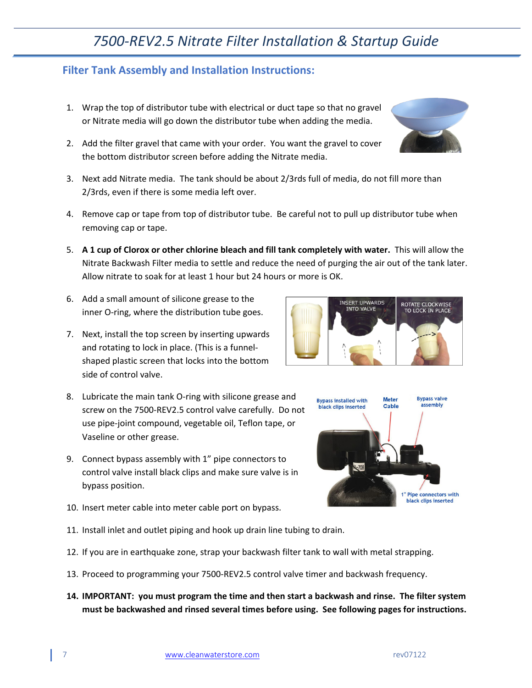13. Proceed to programming your 7500-REV2.5 control valve timer and backwash frequency.

12. If you are in earthquake zone, strap your backwash filter tank to wall with metal strapping.

**14. IMPORTANT: you must program the time and then start a backwash and rinse. The filter system must be backwashed and rinsed several times before using. See following pages for instructions.**

# *7500-REV2.5 Nitrate Filter Installation & Startup Guide*

#### <span id="page-6-0"></span>**Filter Tank Assembly and Installation Instructions:**

- 1. Wrap the top of distributor tube with electrical or duct tape so that no gravel or Nitrate media will go down the distributor tube when adding the media.
- 2. Add the filter gravel that came with your order. You want the gravel to cover the bottom distributor screen before adding the Nitrate media.
- 3. Next add Nitrate media. The tank should be about 2/3rds full of media, do not fill more than 2/3rds, even if there is some media left over.
- 4. Remove cap or tape from top of distributor tube. Be careful not to pull up distributor tube when removing cap or tape.
- 5. **A 1 cup of Clorox or other chlorine bleach and fill tank completely with water.** This will allow the Nitrate Backwash Filter media to settle and reduce the need of purging the air out of the tank later. Allow nitrate to soak for at least 1 hour but 24 hours or more is OK.
- 6. Add a small amount of silicone grease to the inner O-ring, where the distribution tube goes.
- 7. Next, install the top screen by inserting upwards and rotating to lock in place. (This is a funnelshaped plastic screen that locks into the bottom side of control valve.
- 8. Lubricate the main tank O-ring with silicone grease and screw on the 7500-REV2.5 control valve carefully. Do not use pipe-joint compound, vegetable oil, Teflon tape, or Vaseline or other grease.
- 9. Connect bypass assembly with 1" pipe connectors to control valve install black clips and make sure valve is in bypass position.

10. Insert meter cable into meter cable port on bypass.

11. Install inlet and outlet piping and hook up drain line tubing to drain.



**INSERT UPWARDS** 

**INTO VALVE** 





ROTATE CLOCKWISE

TO LOCK IN PLACE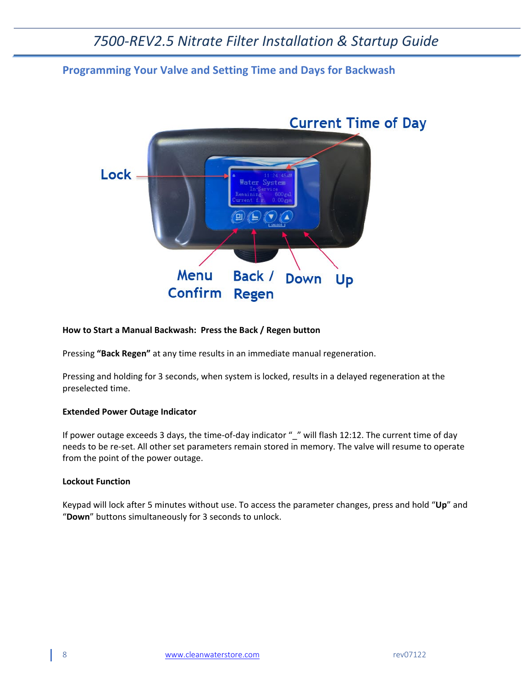#### <span id="page-7-0"></span>**Programming Your Valve and Setting Time and Days for Backwash**



#### **How to Start a Manual Backwash: Press the Back / Regen button**

Pressing **"Back Regen"** at any time results in an immediate manual regeneration.

Pressing and holding for 3 seconds, when system is locked, results in a delayed regeneration at the preselected time.

#### **Extended Power Outage Indicator**

If power outage exceeds 3 days, the time-of-day indicator " " will flash 12:12. The current time of day needs to be re-set. All other set parameters remain stored in memory. The valve will resume to operate from the point of the power outage.

#### **Lockout Function**

Keypad will lock after 5 minutes without use. To access the parameter changes, press and hold "**Up**" and "**Down**" buttons simultaneously for 3 seconds to unlock.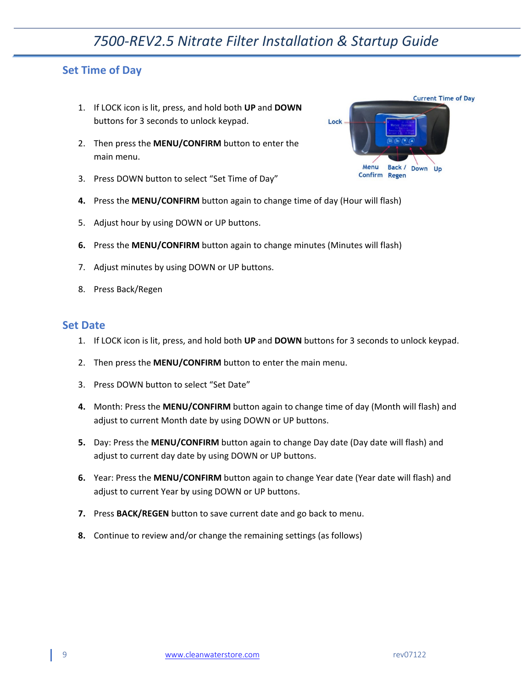#### <span id="page-8-0"></span>**Set Time of Day**

- 1. If LOCK icon is lit, press, and hold both **UP** and **DOWN** buttons for 3 seconds to unlock keypad.
- 2. Then press the **MENU/CONFIRM** button to enter the main menu.
- 3. Press DOWN button to select "Set Time of Day"
- **4.** Press the **MENU/CONFIRM** button again to change time of day (Hour will flash)
- 5. Adjust hour by using DOWN or UP buttons.
- **6.** Press the **MENU/CONFIRM** button again to change minutes (Minutes will flash)
- 7. Adjust minutes by using DOWN or UP buttons.
- 8. Press Back/Regen

#### <span id="page-8-1"></span>**Set Date**

- 1. If LOCK icon is lit, press, and hold both **UP** and **DOWN** buttons for 3 seconds to unlock keypad.
- 2. Then press the **MENU/CONFIRM** button to enter the main menu.
- 3. Press DOWN button to select "Set Date"
- **4.** Month: Press the **MENU/CONFIRM** button again to change time of day (Month will flash) and adjust to current Month date by using DOWN or UP buttons.
- **5.** Day: Press the **MENU/CONFIRM** button again to change Day date (Day date will flash) and adjust to current day date by using DOWN or UP buttons.
- **6.** Year: Press the **MENU/CONFIRM** button again to change Year date (Year date will flash) and adjust to current Year by using DOWN or UP buttons.
- **7.** Press **BACK/REGEN** button to save current date and go back to menu.
- **8.** Continue to review and/or change the remaining settings (as follows)

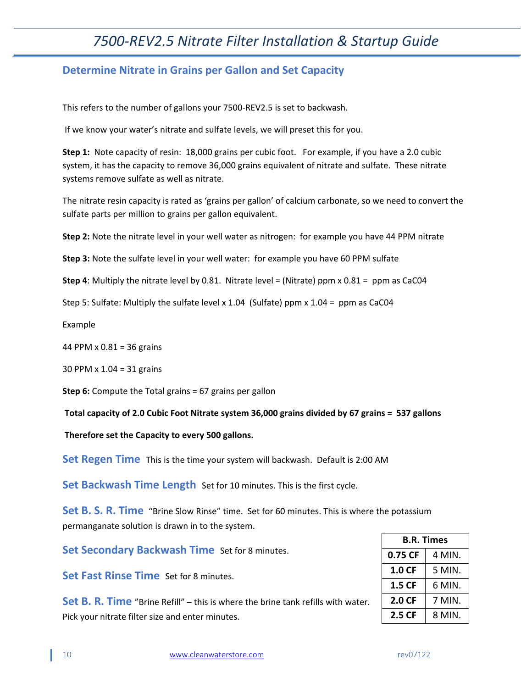#### <span id="page-9-0"></span>**Determine Nitrate in Grains per Gallon and Set Capacity**

This refers to the number of gallons your 7500-REV2.5 is set to backwash.

If we know your water's nitrate and sulfate levels, we will preset this for you.

**Step 1:** Note capacity of resin: 18,000 grains per cubic foot. For example, if you have a 2.0 cubic system, it has the capacity to remove 36,000 grains equivalent of nitrate and sulfate. These nitrate systems remove sulfate as well as nitrate.

The nitrate resin capacity is rated as 'grains per gallon' of calcium carbonate, so we need to convert the sulfate parts per million to grains per gallon equivalent.

**Step 2:** Note the nitrate level in your well water as nitrogen: for example you have 44 PPM nitrate

**Step 3:** Note the sulfate level in your well water: for example you have 60 PPM sulfate

**Step 4**: Multiply the nitrate level by 0.81. Nitrate level = (Nitrate) ppm x 0.81 = ppm as CaC04

Step 5: Sulfate: Multiply the sulfate level x 1.04 (Sulfate) ppm x 1.04 = ppm as CaC04

Example

44 PPM x 0.81 = 36 grains

30 PPM x 1.04 = 31 grains

**Step 6:** Compute the Total grains = 67 grains per gallon

**Total capacity of 2.0 Cubic Foot Nitrate system 36,000 grains divided by 67 grains = 537 gallons**

**Therefore set the Capacity to every 500 gallons.**

**Set Regen Time** This is the time your system will backwash. Default is 2:00 AM

**Set Backwash Time Length** Set for 10 minutes. This is the first cycle.

**Set B. S. R. Time** "Brine Slow Rinse" time. Set for 60 minutes. This is where the potassium permanganate solution is drawn in to the system.

**Set Secondary Backwash Time** Set for 8 minutes.

**Set Fast Rinse Time** Set for 8 minutes.

**Set B. R. Time** "Brine Refill" – this is where the brine tank refills with water. Pick your nitrate filter size and enter minutes.

| <b>B.R. Times</b> |        |  |
|-------------------|--------|--|
| 0.75 CF           | 4 MIN. |  |
| 1.0 CF            | 5 MIN. |  |
| 1.5 CF            | 6 MIN. |  |
| 2.0 CF            | 7 MIN. |  |
| 2.5 CF            | 8 MIN. |  |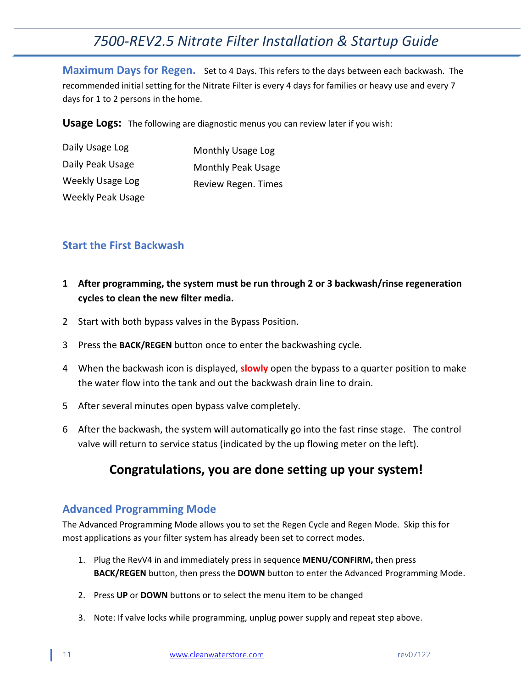**Maximum Days for Regen.** Set to 4 Days. This refers to the days between each backwash. The recommended initial setting for the Nitrate Filter is every 4 days for families or heavy use and every 7 days for 1 to 2 persons in the home.

**Usage Logs:** The following are diagnostic menus you can review later if you wish:

| Daily Usage Log          | Monthly Usage Log   |
|--------------------------|---------------------|
| Daily Peak Usage         | Monthly Peak Usage  |
| Weekly Usage Log         | Review Regen. Times |
| <b>Weekly Peak Usage</b> |                     |

#### <span id="page-10-0"></span>**Start the First Backwash**

- **1 After programming, the system must be run through 2 or 3 backwash/rinse regeneration cycles to clean the new filter media.**
- 2 Start with both bypass valves in the Bypass Position.
- 3 Press the **BACK/REGEN** button once to enter the backwashing cycle.
- 4 When the backwash icon is displayed, **slowly** open the bypass to a quarter position to make the water flow into the tank and out the backwash drain line to drain.
- 5 After several minutes open bypass valve completely.
- 6 After the backwash, the system will automatically go into the fast rinse stage. The control valve will return to service status (indicated by the up flowing meter on the left).

## **Congratulations, you are done setting up your system!**

#### <span id="page-10-1"></span>**Advanced Programming Mode**

The Advanced Programming Mode allows you to set the Regen Cycle and Regen Mode. Skip this for most applications as your filter system has already been set to correct modes.

- 1. Plug the RevV4 in and immediately press in sequence **MENU/CONFIRM,** then press **BACK/REGEN** button, then press the **DOWN** button to enter the Advanced Programming Mode.
- 2. Press **UP** or **DOWN** buttons or to select the menu item to be changed
- 3. Note: If valve locks while programming, unplug power supply and repeat step above.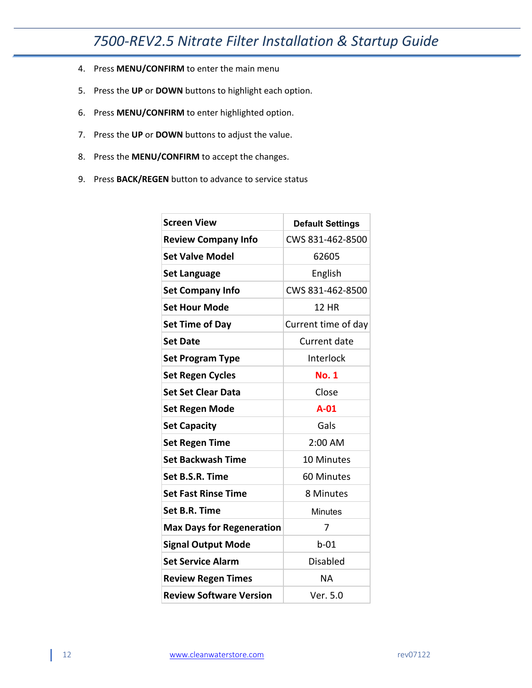- 4. Press **MENU/CONFIRM** to enter the main menu
- 5. Press the **UP** or **DOWN** buttons to highlight each option.
- 6. Press **MENU/CONFIRM** to enter highlighted option.
- 7. Press the **UP** or **DOWN** buttons to adjust the value.
- 8. Press the **MENU/CONFIRM** to accept the changes.
- 9. Press **BACK/REGEN** button to advance to service status

| <b>Screen View</b>               | <b>Default Settings</b> |
|----------------------------------|-------------------------|
| <b>Review Company Info</b>       | CWS 831-462-8500        |
| <b>Set Valve Model</b>           | 62605                   |
| <b>Set Language</b>              | English                 |
| <b>Set Company Info</b>          | CWS 831-462-8500        |
| <b>Set Hour Mode</b>             | 12 HR                   |
| <b>Set Time of Day</b>           | Current time of day     |
| <b>Set Date</b>                  | Current date            |
| <b>Set Program Type</b>          | Interlock               |
| <b>Set Regen Cycles</b>          | <b>No. 1</b>            |
| <b>Set Set Clear Data</b>        | Close                   |
| Set Regen Mode                   | $A-01$                  |
| <b>Set Capacity</b>              | Gals                    |
| <b>Set Regen Time</b>            | 2:00 AM                 |
| <b>Set Backwash Time</b>         | <b>10 Minutes</b>       |
| Set B.S.R. Time                  | 60 Minutes              |
| <b>Set Fast Rinse Time</b>       | 8 Minutes               |
| Set B.R. Time                    | <b>Minutes</b>          |
| <b>Max Days for Regeneration</b> | 7                       |
| <b>Signal Output Mode</b>        | $b-01$                  |
| <b>Set Service Alarm</b>         | <b>Disabled</b>         |
| <b>Review Regen Times</b>        | ΝA                      |
| <b>Review Software Version</b>   | Ver. 5.0                |